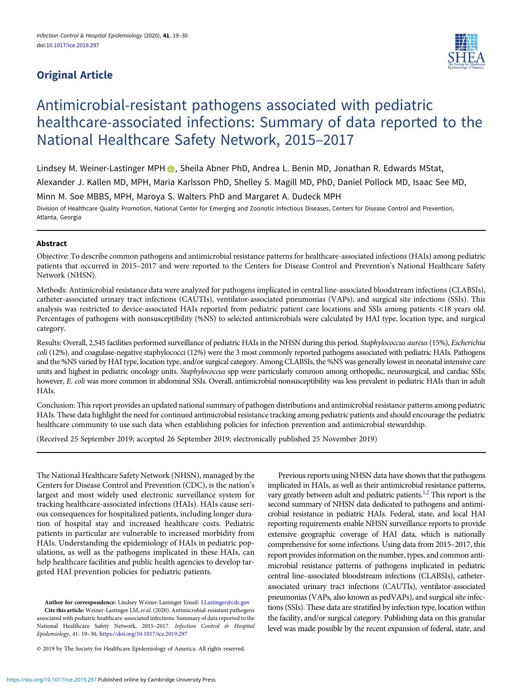# Original Article



# Antimicrobial-resistant pathogens associated with pediatric healthcare-associated infections: Summary of data reported to the National Healthcare Safety Network, 2015–2017

Lindsey M. Weiner-Lastinger MPH (D. Sheila Abner PhD, Andrea L. Benin MD, Jonathan R. Edwards MStat,

Alexander J. Kallen MD, MPH, Maria Karlsson PhD, Shelley S. Magill MD, PhD, Daniel Pollock MD, Isaac See MD,

Minn M. Soe MBBS, MPH, Maroya S. Walters PhD and Margaret A. Dudeck MPH

Division of Healthcare Quality Promotion, National Center for Emerging and Zoonotic Infectious Diseases, Centers for Disease Control and Prevention, Atlanta, Georgia

# Abstract

Objective: To describe common pathogens and antimicrobial resistance patterns for healthcare-associated infections (HAIs) among pediatric patients that occurred in 2015–2017 and were reported to the Centers for Disease Control and Prevention's National Healthcare Safety Network (NHSN).

Methods: Antimicrobial resistance data were analyzed for pathogens implicated in central line-associated bloodstream infections (CLABSIs), catheter-associated urinary tract infections (CAUTIs), ventilator-associated pneumonias (VAPs), and surgical site infections (SSIs). This analysis was restricted to device-associated HAIs reported from pediatric patient care locations and SSIs among patients <18 years old. Percentages of pathogens with nonsusceptibility (%NS) to selected antimicrobials were calculated by HAI type, location type, and surgical category.

Results: Overall, 2,545 facilities performed surveillance of pediatric HAIs in the NHSN during this period. Staphylococcus aureus (15%), Escherichia coli (12%), and coagulase-negative staphylococci (12%) were the 3 most commonly reported pathogens associated with pediatric HAIs. Pathogens and the %NS varied by HAI type, location type, and/or surgical category. Among CLABSIs, the %NS was generally lowest in neonatal intensive care units and highest in pediatric oncology units. Staphylococcus spp were particularly common among orthopedic, neurosurgical, and cardiac SSIs; however, E. coli was more common in abdominal SSIs. Overall, antimicrobial nonsusceptibility was less prevalent in pediatric HAIs than in adult HAIs.

Conclusion: This report provides an updated national summary of pathogen distributions and antimicrobial resistance patterns among pediatric HAIs. These data highlight the need for continued antimicrobial resistance tracking among pediatric patients and should encourage the pediatric healthcare community to use such data when establishing policies for infection prevention and antimicrobial stewardship.

(Received 25 September 2019; accepted 26 September 2019; electronically published 25 November 2019)

The National Healthcare Safety Network (NHSN), managed by the Centers for Disease Control and Prevention (CDC), is the nation's largest and most widely used electronic surveillance system for tracking healthcare-associated infections (HAIs). HAIs cause serious consequences for hospitalized patients, including longer duration of hospital stay and increased healthcare costs. Pediatric patients in particular are vulnerable to increased morbidity from HAIs. Understanding the epidemiology of HAIs in pediatric populations, as well as the pathogens implicated in these HAIs, can help healthcare facilities and public health agencies to develop targeted HAI prevention policies for pediatric patients.

Author for correspondence: Lindsey Weiner-Lastinger Email: [LLastinger@cdc.gov](mailto:LLastinger@cdc.gov) Cite this article: Weiner-Lastinger LM, et al. (2020). Antimicrobial-resistant pathogens associated with pediatric healthcare-associated infections: Summary of data reported to the National Healthcare Safety Network, 2015-2017. Infection Control & Hospital Epidemiology, 41: 19–30, <https://doi.org/10.1017/ice.2019.297>

© 2019 by The Society for Healthcare Epidemiology of America. All rights reserved.

Previous reports using NHSN data have shown that the pathogens implicated in HAIs, as well as their antimicrobial resistance patterns, vary greatly between adult and pediatric patients.<sup>1,2</sup> This report is the second summary of NHSN data dedicated to pathogens and antimicrobial resistance in pediatric HAIs. Federal, state, and local HAI reporting requirements enable NHSN surveillance reports to provide extensive geographic coverage of HAI data, which is nationally comprehensive for some infections. Using data from 2015–2017, this report provides information on the number, types, and common antimicrobial resistance patterns of pathogens implicated in pediatric central line–associated bloodstream infections (CLABSIs), catheterassociated urinary tract infections (CAUTIs), ventilator-associated pneumonias (VAPs, also known as pedVAPs), and surgical site infections (SSIs). These data are stratified by infection type, location within the facility, and/or surgical category. Publishing data on this granular level was made possible by the recent expansion of federal, state, and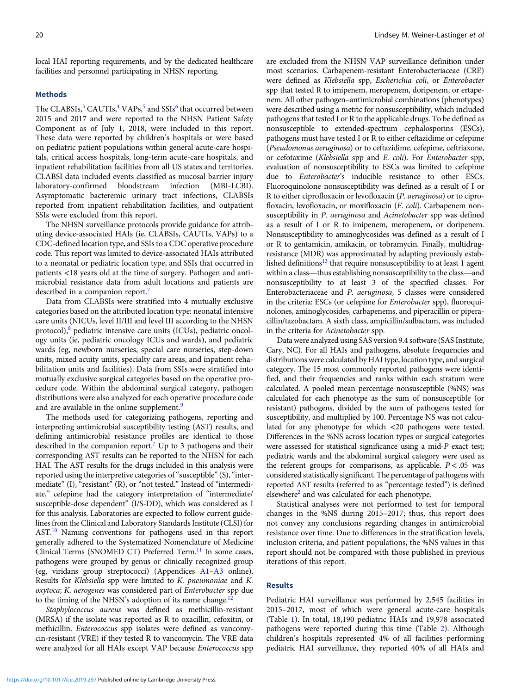local HAI reporting requirements, and by the dedicated healthcare facilities and personnel participating in NHSN reporting.

#### Methods

The CLABSIs,<sup>[3](#page-9-0)</sup> CAUTIs,<sup>[4](#page-9-0)</sup> VAPs,<sup>[5](#page-9-0)</sup> and SSIs<sup>6</sup> that occurred between 2015 and 2017 and were reported to the NHSN Patient Safety Component as of July 1, 2018, were included in this report. These data were reported by children's hospitals or were based on pediatric patient populations within general acute-care hospitals, critical access hospitals, long-term acute-care hospitals, and inpatient rehabilitation facilities from all US states and territories. CLABSI data included events classified as mucosal barrier injury laboratory-confirmed bloodstream infection (MBI-LCBI). Asymptomatic bacteremic urinary tract infections, CLABSIs reported from inpatient rehabilitation facilities, and outpatient SSIs were excluded from this report.

The NHSN surveillance protocols provide guidance for attributing device-associated HAIs (ie, CLABSIs, CAUTIs, VAPs) to a CDC-defined location type, and SSIs to a CDC operative procedure code. This report was limited to device-associated HAIs attributed to a neonatal or pediatric location type, and SSIs that occurred in patients <18 years old at the time of surgery. Pathogen and antimicrobial resistance data from adult locations and patients are described in a companion report.<sup>[7](#page-9-0)</sup>

Data from CLABSIs were stratified into 4 mutually exclusive categories based on the attributed location type: neonatal intensive care units (NICUs, level II/III and level III according to the NHSN protocol), $\frac{8}{3}$  $\frac{8}{3}$  $\frac{8}{3}$  pediatric intensive care units (ICUs), pediatric oncology units (ie, pediatric oncology ICUs and wards), and pediatric wards (eg, newborn nurseries, special care nurseries, step-down units, mixed acuity units, specialty care areas, and inpatient rehabilitation units and facilities). Data from SSIs were stratified into mutually exclusive surgical categories based on the operative procedure code. Within the abdominal surgical category, pathogen distributions were also analyzed for each operative procedure code and are available in the online supplement.<sup>[9](#page-10-0)</sup>

The methods used for categorizing pathogens, reporting and interpreting antimicrobial susceptibility testing (AST) results, and defining antimicrobial resistance profiles are identical to those described in the companion report.<sup>7</sup> Up to 3 pathogens and their corresponding AST results can be reported to the NHSN for each HAI. The AST results for the drugs included in this analysis were reported using the interpretive categories of "susceptible" (S), "intermediate" (I), "resistant" (R), or "not tested." Instead of "intermediate," cefepime had the category interpretation of "intermediate/ susceptible-dose dependent" (I/S-DD), which was considered as I for this analysis. Laboratories are expected to follow current guidelines from the Clinical and Laboratory Standards Institute (CLSI) for AST[.10](#page-10-0) Naming conventions for pathogens used in this report generally adhered to the Systematized Nomenclature of Medicine Clinical Terms (SNOMED CT) Preferred Term.<sup>[11](#page-10-0)</sup> In some cases, pathogens were grouped by genus or clinically recognized group (eg, viridans group streptococci) (Appendices [A1](#page-10-0)–[A3](#page-11-0) online). Results for Klebsiella spp were limited to K. pneumoniae and K. oxytoca; K. aerogenes was considered part of Enterobacter spp due to the timing of the NHSN's adoption of its name change.<sup>1</sup>

Staphylococcus aureus was defined as methicillin-resistant (MRSA) if the isolate was reported as R to oxacillin, cefoxitin, or methicillin. Enterococcus spp isolates were defined as vancomycin-resistant (VRE) if they tested R to vancomycin. The VRE data were analyzed for all HAIs except VAP because Enterococcus spp are excluded from the NHSN VAP surveillance definition under most scenarios. Carbapenem-resistant Enterobacteriaceae (CRE) were defined as Klebsiella spp, Escherichia coli, or Enterobacter spp that tested R to imipenem, meropenem, doripenem, or ertapenem. All other pathogen–antimicrobial combinations (phenotypes) were described using a metric for nonsusceptibility, which included pathogens that tested I or R to the applicable drugs. To be defined as nonsusceptible to extended-spectrum cephalosporins (ESCs), pathogens must have tested I or R to either ceftazidime or cefepime (Pseudomonas aeruginosa) or to ceftazidime, cefepime, ceftriaxone, or cefotaxime (Klebsiella spp and E. coli). For Enterobacter spp, evaluation of nonsusceptibility to ESCs was limited to cefepime due to Enterobacter's inducible resistance to other ESCs. Fluoroquinolone nonsusceptibility was defined as a result of I or R to either ciprofloxacin or levofloxacin (P. aeruginosa) or to ciprofloxacin, levofloxacin, or moxifloxacin (E. coli). Carbapenem nonsusceptibility in P. aeruginosa and Acinetobacter spp was defined as a result of I or R to imipenem, meropenem, or doripenem. Nonsusceptibility to aminoglycosides was defined as a result of I or R to gentamicin, amikacin, or tobramycin. Finally, multidrugresistance (MDR) was approximated by adapting previously established definitions<sup>13</sup> that require nonsusceptibility to at least 1 agent within a class—thus establishing nonsusceptibility to the class—and nonsusceptibility to at least 3 of the specified classes. For Enterobacteriaceae and P. aeruginosa, 5 classes were considered in the criteria: ESCs (or cefepime for Enterobacter spp), fluoroquinolones, aminoglycosides, carbapenems, and piperacillin or piperacillin/tazobactam. A sixth class, ampicillin/sulbactam, was included in the criteria for Acinetobacter spp.

Data were analyzed using SAS version 9.4 software (SAS Institute, Cary, NC). For all HAIs and pathogens, absolute frequencies and distributions were calculated by HAI type, location type, and surgical category. The 15 most commonly reported pathogens were identified, and their frequencies and ranks within each stratum were calculated. A pooled mean percentage nonsusceptible (%NS) was calculated for each phenotype as the sum of nonsusceptible (or resistant) pathogens, divided by the sum of pathogens tested for susceptibility, and multiplied by 100. Percentage NS was not calculated for any phenotype for which <20 pathogens were tested. Differences in the %NS across location types or surgical categories were assessed for statistical significance using a mid-P exact test; pediatric wards and the abdominal surgical category were used as the referent groups for comparisons, as applicable.  $P < .05$  was considered statistically significant. The percentage of pathogens with reported AST results (referred to as "percentage tested") is defined elsewhere<sup>2</sup> and was calculated for each phenotype.

Statistical analyses were not performed to test for temporal changes in the %NS during 2015–2017; thus, this report does not convey any conclusions regarding changes in antimicrobial resistance over time. Due to differences in the stratification levels, inclusion criteria, and patient populations, the %NS values in this report should not be compared with those published in previous iterations of this report.

# Results

Pediatric HAI surveillance was performed by 2,545 facilities in 2015–2017, most of which were general acute-care hospitals (Table [1\)](#page-2-0). In total, 18,190 pediatric HAIs and 19,978 associated pathogens were reported during this time (Table [2\)](#page-2-0). Although children's hospitals represented 4% of all facilities performing pediatric HAI surveillance, they reported 40% of all HAIs and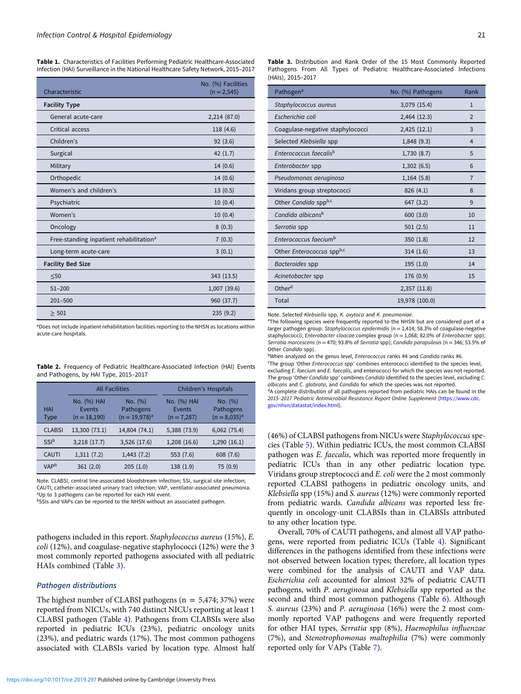<span id="page-2-0"></span>Table 1. Characteristics of Facilities Performing Pediatric Healthcare-Associated Infection (HAI) Surveillance in the National Healthcare Safety Network, 2015–2017

| Characteristic                                      | No. (%) Facilities<br>$(n = 2,545)$ |
|-----------------------------------------------------|-------------------------------------|
| <b>Facility Type</b>                                |                                     |
| General acute-care                                  | 2,214 (87.0)                        |
| Critical access                                     | 118 (4.6)                           |
| Children's                                          | 92(3.6)                             |
| Surgical                                            | 42(1.7)                             |
| Military                                            | 14(0.6)                             |
| Orthopedic                                          | 14(0.6)                             |
| Women's and children's                              | 13(0.5)                             |
| Psychiatric                                         | 10(0.4)                             |
| Women's                                             | 10(0.4)                             |
| Oncology                                            | 8(0.3)                              |
| Free-standing inpatient rehabilitation <sup>a</sup> | 7(0.3)                              |
| Long-term acute-care                                | 3(0.1)                              |
| <b>Facility Bed Size</b>                            |                                     |
| $\leq 50$                                           | 343 (13.5)                          |
| $51 - 200$                                          | 1,007 (39.6)                        |
| $201 - 500$                                         | 960 (37.7)                          |
| > 501                                               | 235(9.2)                            |

<sup>a</sup>Does not include inpatient rehabilitation facilities reporting to the NHSN as locations within acute-care hospitals.

Table 2. Frequency of Pediatric Healthcare-Associated Infection (HAI) Events and Pathogens, by HAI Type, 2015–2017

|                           |                                         | <b>All Facilities</b>                      | <b>Children's Hospitals</b>            |                                           |  |  |  |
|---------------------------|-----------------------------------------|--------------------------------------------|----------------------------------------|-------------------------------------------|--|--|--|
| <b>HAI</b><br><b>Type</b> | No. (%) HAI<br>Events<br>$(n = 18,190)$ | No. (%)<br>Pathogens<br>$(n = 19,978)^{a}$ | No. (%) HAI<br>Events<br>$(n = 7,287)$ | No. (%)<br>Pathogens<br>$(n = 8,035)^{a}$ |  |  |  |
| <b>CLABSI</b>             | 13,300 (73.1)                           | 14,804 (74.1)                              | 5,388 (73.9)                           | 6,062(75.4)                               |  |  |  |
| SSI <sup>b</sup>          | 3,218(17.7)                             | 3,526 (17.6)                               | 1,208 (16.6)                           | 1,290(16.1)                               |  |  |  |
| <b>CAUTI</b>              | 1,311(7.2)                              | 1,443(7.2)                                 | 553 (7.6)                              | 608 (7.6)                                 |  |  |  |
| VAP <sup>b</sup>          | 361(2.0)                                | 205(1.0)                                   | 138 (1.9)                              | 75 (0.9)                                  |  |  |  |

Note. CLABSI, central line-associated bloodstream infection; SSI, surgical site infection; CAUTI, catheter-associated urinary tract infection; VAP, ventilator-associated pneumonia. <sup>a</sup>Up to 3 pathogens can be reported for each HAI event.

bSSIs and VAPs can be reported to the NHSN without an associated pathogen.

pathogens included in this report. Staphylococcus aureus (15%), E. coli (12%), and coagulase-negative staphylococci (12%) were the 3 most commonly reported pathogens associated with all pediatric HAIs combined (Table 3).

#### Pathogen distributions

The highest number of CLABSI pathogens ( $n = 5,474; 37\%$ ) were reported from NICUs, with 740 distinct NICUs reporting at least 1 CLABSI pathogen (Table [4](#page-3-0)). Pathogens from CLABSIs were also reported in pediatric ICUs (23%), pediatric oncology units (23%), and pediatric wards (17%). The most common pathogens associated with CLABSIs varied by location type. Almost half

| Pathogen <sup>a</sup>              | No. (%) Pathogens | Rank           |
|------------------------------------|-------------------|----------------|
| Staphylococcus aureus              | 3,079 (15.4)      | $\mathbf{1}$   |
| Escherichia coli                   | 2,464 (12.3)      | $\overline{2}$ |
| Coagulase-negative staphylococci   | 2,425 (12.1)      | 3              |
| Selected Klebsiella spp            | 1,848 (9.3)       | 4              |
| Enterococcus faecalis <sup>b</sup> | 1,730 (8.7)       | 5              |
| Enterobacter spp                   | 1,302(6.5)        | 6              |
| Pseudomonas aeruginosa             | 1,164(5.8)        | $\overline{7}$ |
| Viridans group streptococci        | 826 (4.1)         | 8              |
| Other Candida sppb,c               | 647 (3.2)         | 9              |
| Candida albicans <sup>b</sup>      | 600(3.0)          | 10             |
| Serratia spp                       | 501(2.5)          | 11             |
| Enterococcus faecium <sup>b</sup>  | 350(1.8)          | 12             |
| Other Enterococcus sppb,c          | 314(1.6)          | 13             |
| Bacteroides spp                    | 195(1.0)          | 14             |
| Acinetobacter spp                  | 176 (0.9)         | 15             |
| Other <sup>d</sup>                 | 2,357 (11.8)      |                |
| Total                              | 19,978 (100.0)    |                |

Note. Selected Klebsiella spp, K. oxytoca and K. pneumoniae.

<sup>a</sup>The following species were frequently reported to the NHSN but are considered part of a larger pathogen group: Staphylococcus epidermidis ( $n = 1,414$ ; 58.3% of coagulase-negative staphylococci); Enterobacter cloacae complex group (n = 1,068; 82.0% of Enterobacter spp); Serratia marcescens (n = 470; 93.8% of Serratia spp); Candida parapsilosis (n = 346; 53.5% of Other Candida spp).

bWhen analyzed on the genus level, *Enterococcus* ranks #4 and Candida ranks #6.

<sup>c</sup>The group 'Other Enterococcus spp' combines enterococci identified to the species level, excluding E. faecium and E. faecalis, and enterococci for which the species was not reported. The group 'Other Candida spp' combines Candida identified to the species level, excluding C. albicans and C. glabrata, and Candida for which the species was not reported.

 $dA$  complete distribution of all pathogens reported from pediatric HAIs can be found in the 2015–2017 Pediatric Antimicrobial Resistance Report Online Supplement ([https://www.cdc.](https://www.cdc.gov/nhsn/datastat/index.html) [gov/nhsn/datastat/index.html](https://www.cdc.gov/nhsn/datastat/index.html)).

(46%) of CLABSI pathogens from NICUs were Staphylococcus species (Table [5\)](#page-3-0). Within pediatric ICUs, the most common CLABSI pathogen was E. faecalis, which was reported more frequently in pediatric ICUs than in any other pediatric location type. Viridans group streptococci and E. coli were the 2 most commonly reported CLABSI pathogens in pediatric oncology units, and Klebsiella spp (15%) and S. aureus (12%) were commonly reported from pediatric wards. Candida albicans was reported less frequently in oncology-unit CLABSIs than in CLABSIs attributed to any other location type.

Overall, 70% of CAUTI pathogens, and almost all VAP pathogens, were reported from pediatric ICUs (Table [4](#page-3-0)). Significant differences in the pathogens identified from these infections were not observed between location types; therefore, all location types were combined for the analysis of CAUTI and VAP data. Escherichia coli accounted for almost 32% of pediatric CAUTI pathogens, with P. aeruginosa and Klebsiella spp reported as the second and third most common pathogens (Table [6](#page-4-0)). Although S. aureus (23%) and P. aeruginosa (16%) were the 2 most commonly reported VAP pathogens and were frequently reported for other HAI types, Serratia spp (8%), Haemophilus influenzae (7%), and Stenotrophomonas maltophilia (7%) were commonly reported only for VAPs (Table [7](#page-4-0)).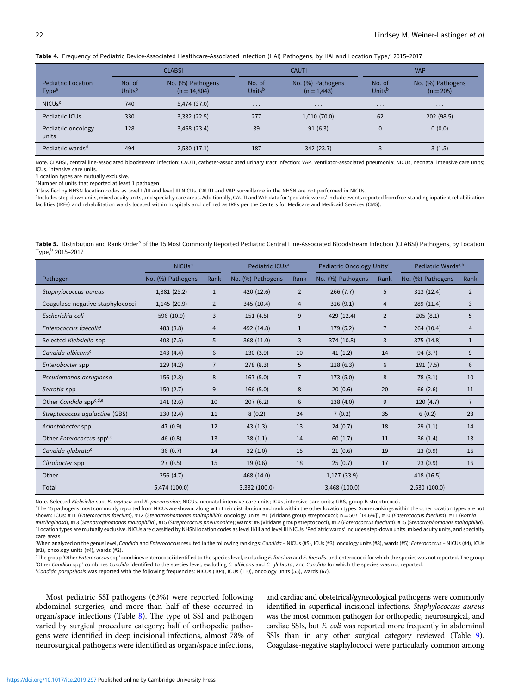<span id="page-3-0"></span>Table 4. Frequency of Pediatric Device-Associated Healthcare-Associated Infection (HAI) Pathogens, by HAI and Location Type,<sup>a</sup> 2015-2017

|                                                |                              | <b>CLABSI</b>                       |                              | <b>CAUTI</b>                       |                              | <b>VAP</b>                       |  |  |
|------------------------------------------------|------------------------------|-------------------------------------|------------------------------|------------------------------------|------------------------------|----------------------------------|--|--|
| <b>Pediatric Location</b><br>Type <sup>a</sup> | No. of<br>Units <sup>b</sup> | No. (%) Pathogens<br>$(n = 14,804)$ | No. of<br>Units <sup>b</sup> | No. (%) Pathogens<br>$(n = 1,443)$ | No. of<br>Units <sup>b</sup> | No. (%) Pathogens<br>$(n = 205)$ |  |  |
| NICUs <sup>c</sup>                             | 740                          | 5,474 (37.0)                        | $\cdots$                     | $\cdot$ $\cdot$ $\cdot$            | $\cdot$ $\cdot$ $\cdot$      | $\cdots$                         |  |  |
| Pediatric ICUs                                 | 330                          | 3,332(22.5)                         | 277                          | 1,010(70.0)                        | 62                           | 202 (98.5)                       |  |  |
| Pediatric oncology<br>units                    | 128                          | 3,468(23.4)                         | 39                           | 91(6.3)                            | $\Omega$                     | 0(0.0)                           |  |  |
| Pediatric wards <sup>d</sup>                   | 494                          | 2,530(17.1)                         | 187                          | 342(23.7)                          |                              | 3(1.5)                           |  |  |

Note. CLABSI, central line-associated bloodstream infection; CAUTI, catheter-associated urinary tract infection; VAP, ventilator-associated pneumonia; NICUs, neonatal intensive care units; ICUs, intensive care units.

a Location types are mutually exclusive.

bNumber of units that reported at least 1 pathogen.

c Classified by NHSN location codes as level II/III and level III NICUs. CAUTI and VAP surveillance in the NHSN are not performed in NICUs.

dIncludes step-down units, mixed acuity units, and specialty care areas. Additionally, CAUTI and VAP data for 'pediatric wards' include events reported from free-standing inpatient rehabilitation facilities (IRFs) and rehabilitation wards located within hospitals and defined as IRFs per the Centers for Medicare and Medicaid Services (CMS).

Table 5. Distribution and Rank Order<sup>a</sup> of the 15 Most Commonly Reported Pediatric Central Line-Associated Bloodstream Infection (CLABSI) Pathogens, by Location Type,b 2015–2017

|                                       | <b>NICU<sub>s</sub></b> b |                | Pediatric ICUs <sup>a</sup> |                | Pediatric Oncology Units <sup>a</sup> |                | Pediatric Wards <sup>a,b</sup> |                |
|---------------------------------------|---------------------------|----------------|-----------------------------|----------------|---------------------------------------|----------------|--------------------------------|----------------|
| Pathogen                              | No. (%) Pathogens         | Rank           | No. (%) Pathogens           | Rank           | No. (%) Pathogens                     | Rank           | No. (%) Pathogens              | Rank           |
| Staphylococcus aureus                 | 1,381(25.2)               | $\mathbf{1}$   | 420 (12.6)                  | $\overline{2}$ | 266(7.7)                              | 5              | 313(12.4)                      | 2              |
| Coagulase-negative staphylococci      | 1,145(20.9)               | 2              | 345 (10.4)                  | 4              | 316(9.1)                              | 4              | 289 (11.4)                     | 3              |
| Escherichia coli                      | 596 (10.9)                | 3              | 151(4.5)                    | 9              | 429 (12.4)                            | 2              | 205(8.1)                       | 5              |
| Enterococcus faecalis <sup>c</sup>    | 483 (8.8)                 | $\overline{4}$ | 492 (14.8)                  | $\mathbf{1}$   | 179 (5.2)                             | $\overline{7}$ | 264(10.4)                      | 4              |
| Selected Klebsiella spp               | 408 (7.5)                 | 5              | 368 (11.0)                  | 3              | 374 (10.8)                            | 3              | 375 (14.8)                     | 1              |
| Candida albicans <sup>c</sup>         | 243(4.4)                  | 6              | 130(3.9)                    | 10             | 41(1.2)                               | 14             | 94(3.7)                        | 9              |
| Enterobacter spp                      | 229(4.2)                  | $\overline{7}$ | 278(8.3)                    | 5              | 218(6.3)                              | 6              | 191(7.5)                       | 6              |
| Pseudomonas aeruginosa                | 156(2.8)                  | 8              | 167(5.0)                    | $\overline{7}$ | 173 (5.0)                             | 8              | 78(3.1)                        | 10             |
| Serratia spp                          | 150(2.7)                  | 9              | 166(5.0)                    | 8              | 20(0.6)                               | 20             | 66 (2.6)                       | 11             |
| Other Candida spp <sup>c,d,e</sup>    | 141(2.6)                  | 10             | 207(6.2)                    | 6              | 138 (4.0)                             | 9              | 120(4.7)                       | $\overline{7}$ |
| Streptococcus agalactiae (GBS)        | 130(2.4)                  | 11             | 8(0.2)                      | 24             | 7(0.2)                                | 35             | 6(0.2)                         | 23             |
| Acinetobacter spp                     | 47(0.9)                   | 12             | 43(1.3)                     | 13             | 24(0.7)                               | 18             | 29(1.1)                        | 14             |
| Other Enterococcus spp <sup>c,d</sup> | 46(0.8)                   | 13             | 38(1.1)                     | 14             | 60(1.7)                               | 11             | 36(1.4)                        | 13             |
| Candida glabrata <sup>c</sup>         | 36(0.7)                   | 14             | 32(1.0)                     | 15             | 21(0.6)                               | 19             | 23(0.9)                        | 16             |
| Citrobacter spp                       | 27(0.5)                   | 15             | 19(0.6)                     | 18             | 25(0.7)                               | 17             | 23(0.9)                        | 16             |
| Other                                 | 256(4.7)                  |                | 468 (14.0)                  |                | 1,177(33.9)                           |                | 418(16.5)                      |                |
| Total                                 | 5,474 (100.0)             |                | 3,332 (100.0)               |                | 3,468 (100.0)                         |                | 2,530 (100.0)                  |                |

Note. Selected Klebsiella spp, K. oxytoca and K. pneumoniae; NICUs, neonatal intensive care units; ICUs, intensive care units; GBS, group B streptococci.

<sup>a</sup>The 15 pathogens most commonly reported from NICUs are shown, along with their distribution and rank within the other location types. Some rankings within the other location types are not shown: ICUs: #11 (Enterococcus faecium), #12 (Stenotrophomonas maltophilia); oncology units: #1 (Viridans group streptococci; n = 507 [14.6%]), #10 (Enterococcus faecium), #11 (Rothia mucilaginosa), #13 (Stenotrophomonas maltophilia), #15 (Streptococcus pneumoniae); wards: #8 (Viridans group streptococci), #12 (Enterococcus faecium), #15 (Stenotrophomonas maltophilia). <sup>b</sup>Location types are mutually exclusive. NICUs are classified by NHSN location codes as level II/III and level III NICUs. 'Pediatric wards' includes step-down units, mixed acuity units, and specialty care areas.

<sup>c</sup>When analyzed on the genus level, Candida and Enterococcus resulted in the following rankings: Candida – NICUs (#5), ICUs (#3), oncology units (#8), wards (#5); Enterococcus – NICUs (#4), ICUs (#1), oncology units (#4), wards (#2).

<sup>d</sup>The group 'Other Enterococcus spp' combines enterococci identified to the species level, excluding E. faecium and E. faecalis, and enterococci for which the species was not reported. The group 'Other Candida spp' combines Candida identified to the species level, excluding C. albicans and C. glabrata, and Candida for which the species was not reported. eCandida parapsilosis was reported with the following frequencies: NICUs (104), ICUs (110), oncology units (55), wards (67).

Most pediatric SSI pathogens (63%) were reported following abdominal surgeries, and more than half of these occurred in organ/space infections (Table [8\)](#page-5-0). The type of SSI and pathogen varied by surgical procedure category; half of orthopedic pathogens were identified in deep incisional infections, almost 78% of neurosurgical pathogens were identified as organ/space infections,

and cardiac and obstetrical/gynecological pathogens were commonly identified in superficial incisional infections. Staphylococcus aureus was the most common pathogen for orthopedic, neurosurgical, and cardiac SSIs, but E. coli was reported more frequently in abdominal SSIs than in any other surgical category reviewed (Table [9](#page-5-0)). Coagulase-negative staphylococci were particularly common among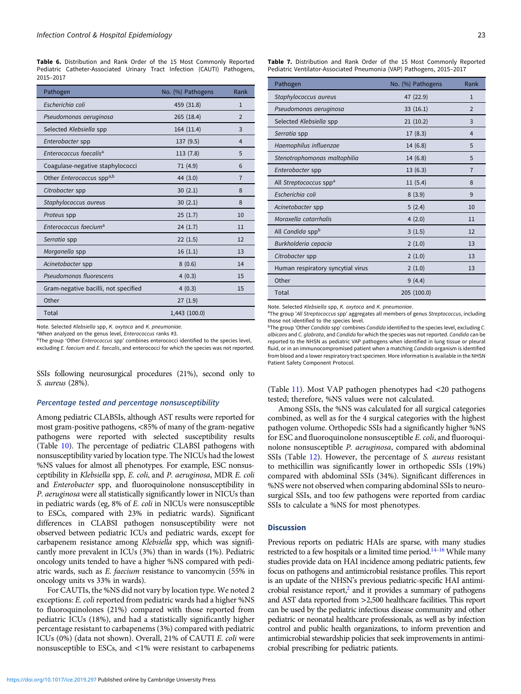<span id="page-4-0"></span>Table 6. Distribution and Rank Order of the 15 Most Commonly Reported Pediatric Catheter-Associated Urinary Tract Infection (CAUTI) Pathogens, 2015–2017

| Pathogen                             | No. (%) Pathogens | Rank           |
|--------------------------------------|-------------------|----------------|
| Escherichia coli                     | 459 (31.8)        | $\mathbf{1}$   |
| Pseudomonas aeruginosa               | 265 (18.4)        | $\overline{2}$ |
| Selected Klebsiella spp              | 164 (11.4)        | 3              |
| Enterobacter spp                     | 137 (9.5)         | 4              |
| Enterococcus faecalis <sup>a</sup>   | 113(7.8)          | 5              |
| Coagulase-negative staphylococci     | 71 (4.9)          | 6              |
| Other Enterococcus sppa,b            | 44 (3.0)          | $\overline{7}$ |
| Citrobacter spp                      | 30(2.1)           | 8              |
| Staphylococcus aureus                | 30(2.1)           | 8              |
| Proteus spp                          | 25(1.7)           | 10             |
| Enterococcus faecium <sup>a</sup>    | 24(1.7)           | 11             |
| Serratia spp                         | 22(1.5)           | 12             |
| Morganella spp                       | 16(1.1)           | 13             |
| Acinetobacter spp                    | 8(0.6)            | 14             |
| Pseudomonas fluorescens              | 4(0.3)            | 15             |
| Gram-negative bacilli, not specified | 4(0.3)            | 15             |
| Other                                | 27(1.9)           |                |
| Total                                | 1,443 (100.0)     |                |

Note. Selected Klebsiella spp. K. oxytoca and K. pneumoniae.

<sup>a</sup>When analyzed on the genus level, Enterococcus ranks #3.

<sup>b</sup>The group 'Other *Enterococcus* spp' combines enterococci identified to the species level, excluding E. faecium and E. faecalis, and enterococci for which the species was not reported.

SSIs following neurosurgical procedures (21%), second only to S. aureus (28%).

#### Percentage tested and percentage nonsusceptibility

Among pediatric CLABSIs, although AST results were reported for most gram-positive pathogens, <85% of many of the gram-negative pathogens were reported with selected susceptibility results (Table [10\)](#page-6-0). The percentage of pediatric CLABSI pathogens with nonsusceptibility varied by location type. The NICUs had the lowest %NS values for almost all phenotypes. For example, ESC nonsusceptibility in Klebsiella spp, E. coli, and P. aeruginosa, MDR E. coli and Enterobacter spp, and fluoroquinolone nonsusceptibility in P. aeruginosa were all statistically significantly lower in NICUs than in pediatric wards (eg, 8% of E. coli in NICUs were nonsusceptible to ESCs, compared with 23% in pediatric wards). Significant differences in CLABSI pathogen nonsusceptibility were not observed between pediatric ICUs and pediatric wards, except for carbapenem resistance among Klebsiella spp, which was significantly more prevalent in ICUs (3%) than in wards (1%). Pediatric oncology units tended to have a higher %NS compared with pediatric wards, such as E. faecium resistance to vancomycin (55% in oncology units vs 33% in wards).

For CAUTIs, the %NS did not vary by location type. We noted 2 exceptions: E. coli reported from pediatric wards had a higher %NS to fluoroquinolones (21%) compared with those reported from pediatric ICUs (18%), and had a statistically significantly higher percentage resistant to carbapenems (3%) compared with pediatric ICUs (0%) (data not shown). Overall, 21% of CAUTI E. coli were nonsusceptible to ESCs, and <1% were resistant to carbapenems

Table 7. Distribution and Rank Order of the 15 Most Commonly Reported Pediatric Ventilator-Associated Pneumonia (VAP) Pathogens, 2015–2017

| Pathogen                           | No. (%) Pathogens | Rank           |
|------------------------------------|-------------------|----------------|
| Staphylococcus aureus              | 47 (22.9)         | $\mathbf{1}$   |
| Pseudomonas aeruginosa             | 33(16.1)          | $\overline{2}$ |
| Selected Klebsiella spp            | 21(10.2)          | 3              |
| Serratia spp                       | 17(8.3)           | $\overline{4}$ |
| Haemophilus influenzae             | 14(6.8)           | 5              |
| Stenotrophomonas maltophilia       | 14(6.8)           | 5              |
| Enterobacter spp                   | 13(6.3)           | $\overline{7}$ |
| All Streptococcus spp <sup>a</sup> | 11(5.4)           | 8              |
| Escherichia coli                   | 8(3.9)            | 9              |
| Acinetobacter spp                  | 5(2.4)            | 10             |
| Moraxella catarrhalis              | 4(2.0)            | 11             |
| All Candida sppb                   | 3(1.5)            | 12             |
| Burkholderia cepacia               | 2(1.0)            | 13             |
| Citrobacter spp                    | 2(1.0)            | 13             |
| Human respiratory syncytial virus  | 2(1.0)            | 13             |
| Other                              | 9(4.4)            |                |
| Total                              | 205 (100.0)       |                |

Note. Selected Klebsiella spp, K. oxytoca and K. pneumoniae.

<sup>a</sup>The group 'All Streptococcus spp' aggregates all members of genus Streptococcus, including those not identified to the species level.

<sup>b</sup>The group 'Other Candida spp' combines Candida identified to the species level, excluding C. albicans and C. glabrata, and Candida for which the species was not reported. Candida can be reported to the NHSN as pediatric VAP pathogens when identified in lung tissue or pleural fluid, or in an immunocompromised patient when a matching Candida organism is identified from blood and a lower respiratory tract specimen. More information is available in the NHSN Patient Safety Component Protocol.

(Table [11\)](#page-7-0). Most VAP pathogen phenotypes had <20 pathogens tested; therefore, %NS values were not calculated.

Among SSIs, the %NS was calculated for all surgical categories combined, as well as for the 4 surgical categories with the highest pathogen volume. Orthopedic SSIs had a significantly higher %NS for ESC and fluoroquinolone nonsusceptible E. coli, and fluoroquinolone nonsusceptible P. aeruginosa, compared with abdominal SSIs (Table [12\)](#page-8-0). However, the percentage of S. aureus resistant to methicillin was significantly lower in orthopedic SSIs (19%) compared with abdominal SSIs (34%). Significant differences in %NS were not observed when comparing abdominal SSIs to neurosurgical SSIs, and too few pathogens were reported from cardiac SSIs to calculate a %NS for most phenotypes.

#### **Discussion**

Previous reports on pediatric HAIs are sparse, with many studies restricted to a few hospitals or a limited time period.<sup>[14](#page-10-0)–[16](#page-10-0)</sup> While many studies provide data on HAI incidence among pediatric patients, few focus on pathogens and antimicrobial resistance profiles. This report is an update of the NHSN's previous pediatric-specific HAI antimi-crobial resistance report,<sup>[2](#page-9-0)</sup> and it provides a summary of pathogens and AST data reported from >2,500 healthcare facilities. This report can be used by the pediatric infectious disease community and other pediatric or neonatal healthcare professionals, as well as by infection control and public health organizations, to inform prevention and antimicrobial stewardship policies that seek improvements in antimicrobial prescribing for pediatric patients.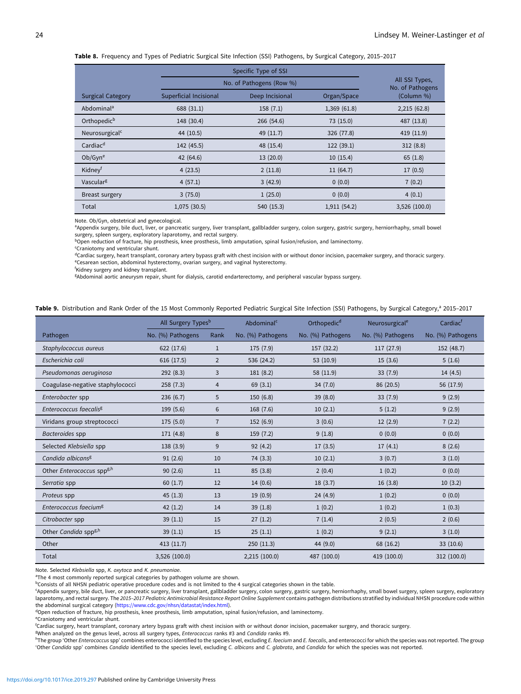<span id="page-5-0"></span>Table 8. Frequency and Types of Pediatric Surgical Site Infection (SSI) Pathogens, by Surgical Category, 2015-2017

|                            |                        | Specific Type of SSI     |              |                                    |  |  |  |  |  |  |  |  |
|----------------------------|------------------------|--------------------------|--------------|------------------------------------|--|--|--|--|--|--|--|--|
|                            |                        | No. of Pathogens (Row %) |              | All SSI Types,<br>No. of Pathogens |  |  |  |  |  |  |  |  |
| <b>Surgical Category</b>   | Superficial Incisional | Deep Incisional          | Organ/Space  | (Column %)                         |  |  |  |  |  |  |  |  |
| Abdominal <sup>a</sup>     | 688 (31.1)             | 158(7.1)                 | 1,369(61.8)  | 2,215(62.8)                        |  |  |  |  |  |  |  |  |
| Orthopedic <sup>b</sup>    | 148 (30.4)             | 266 (54.6)               | 73 (15.0)    | 487 (13.8)                         |  |  |  |  |  |  |  |  |
| Neurosurgical <sup>c</sup> | 44 (10.5)              | 49 (11.7)                | 326 (77.8)   | 419(11.9)                          |  |  |  |  |  |  |  |  |
| Cardiac <sup>d</sup>       | 142 (45.5)             | 48 (15.4)                | 122 (39.1)   | 312(8.8)                           |  |  |  |  |  |  |  |  |
| Ob/Gyn <sup>e</sup>        | 42(64.6)               | 13(20.0)                 | 10(15.4)     | 65(1.8)                            |  |  |  |  |  |  |  |  |
| Kidney <sup>t</sup>        | 4(23.5)                | 2(11.8)                  | 11(64.7)     | 17(0.5)                            |  |  |  |  |  |  |  |  |
| Vascularg                  | 4(57.1)                | 3(42.9)                  | 0(0.0)       | 7(0.2)                             |  |  |  |  |  |  |  |  |
| Breast surgery             | 3(75.0)                | 1(25.0)                  | 0(0.0)       | 4(0.1)                             |  |  |  |  |  |  |  |  |
| Total                      | 1,075(30.5)            | 540 (15.3)               | 1,911 (54.2) | 3,526 (100.0)                      |  |  |  |  |  |  |  |  |

Note. Ob/Gyn, obstetrical and gynecological.

aAppendix surgery, bile duct, liver, or pancreatic surgery, liver transplant, gallbladder surgery, colon surgery, gastric surgery, herniorrhaphy, small bowel surgery, spleen surgery, exploratory laparotomy, and rectal surgery.

b<sub>Open reduction of fracture, hip prosthesis, knee prosthesis, limb amputation, spinal fusion/refusion, and laminectomy.</sub>

c Craniotomy and ventricular shunt.

<sup>d</sup>Cardiac surgery, heart transplant, coronary artery bypass graft with chest incision with or without donor incision, pacemaker surgery, and thoracic surgery. e Cesarean section, abdominal hysterectomy, ovarian surgery, and vaginal hysterectomy.

f Kidney surgery and kidney transplant.

g Abdominal aortic aneurysm repair, shunt for dialysis, carotid endarterectomy, and peripheral vascular bypass surgery.

Table 9. Distribution and Rank Order of the 15 Most Commonly Reported Pediatric Surgical Site Infection (SSI) Pathogens, by Surgical Category,<sup>a</sup> 2015-2017

|                                    | All Surgery Types <sup>b</sup> |                | Abdominal <sup>c</sup> | Orthopedic <sup>d</sup> | Neurosurgical <sup>e</sup> | Cardiac <sup>f</sup> |
|------------------------------------|--------------------------------|----------------|------------------------|-------------------------|----------------------------|----------------------|
| Pathogen                           | No. (%) Pathogens              | Rank           | No. (%) Pathogens      | No. (%) Pathogens       | No. (%) Pathogens          | No. (%) Pathogens    |
| Staphylococcus aureus              | 622 (17.6)                     | $\mathbf{1}$   | 175 (7.9)              | 157 (32.2)              | 117 (27.9)                 | 152 (48.7)           |
| Escherichia coli                   | 616 (17.5)                     | $\overline{2}$ | 536 (24.2)             | 53(10.9)                | 15(3.6)                    | 5(1.6)               |
| Pseudomonas aeruginosa             | 292(8.3)                       | 3              | 181(8.2)               | 58 (11.9)               | 33(7.9)                    | 14(4.5)              |
| Coagulase-negative staphylococci   | 258(7.3)                       | $\overline{4}$ | 69(3.1)                | 34(7.0)                 | 86 (20.5)                  | 56 (17.9)            |
| Enterobacter spp                   | 236(6.7)                       | 5              | 150(6.8)               | 39 (8.0)                | 33(7.9)                    | 9(2.9)               |
| Enterococcus faecalis <sup>g</sup> | 199 (5.6)                      | 6              | 168 (7.6)              | 10(2.1)                 | 5(1.2)                     | 9(2.9)               |
| Viridans group streptococci        | 175(5.0)                       | $\overline{7}$ | 152(6.9)               | 3(0.6)                  | 12(2.9)                    | 7(2.2)               |
| Bacteroides spp                    | 171 (4.8)                      | 8              | 159(7.2)               | 9(1.8)                  | (0.0)                      | 0(0.0)               |
| Selected Klebsiella spp            | 138 (3.9)                      | 9              | 92(4.2)                | 17(3.5)                 | 17(4.1)                    | 8(2.6)               |
| Candida albicans <sup>g</sup>      | 91(2.6)                        | 10             | 74 (3.3)               | 10(2.1)                 | 3(0.7)                     | 3(1.0)               |
| Other Enterococcus sppg,h          | 90(2.6)                        | 11             | 85(3.8)                | 2(0.4)                  | 1(0.2)                     | 0(0.0)               |
| Serratia spp                       | 60(1.7)                        | 12             | 14(0.6)                | 18(3.7)                 | 16(3.8)                    | 10(3.2)              |
| Proteus spp                        | 45(1.3)                        | 13             | 19(0.9)                | 24(4.9)                 | 1(0.2)                     | 0(0.0)               |
| Enterococcus faecium <sup>g</sup>  | 42(1.2)                        | 14             | 39(1.8)                | 1(0.2)                  | 1(0.2)                     | 1(0.3)               |
| Citrobacter spp                    | 39(1.1)                        | 15             | 27(1.2)                | 7(1.4)                  | 2(0.5)                     | 2(0.6)               |
| Other Candida spp <sup>g,h</sup>   | 39(1.1)                        | 15             | 25(1.1)                | 1(0.2)                  | 9(2.1)                     | 3(1.0)               |
| Other                              | 413(11.7)                      |                | 250(11.3)              | 44 (9.0)                | 68 (16.2)                  | 33(10.6)             |
| Total                              | 3,526 (100.0)                  |                | 2,215 (100.0)          | 487 (100.0)             | 419 (100.0)                | 312 (100.0)          |

Note. Selected Klebsiella spp, K. oxytoca and K. pneumoniae.

<sup>a</sup>The 4 most commonly reported surgical categories by pathogen volume are shown.

 $b$ Consists of all NHSN pediatric operative procedure codes and is not limited to the 4 surgical categories shown in the table.

c Appendix surgery, bile duct, liver, or pancreatic surgery, liver transplant, gallbladder surgery, colon surgery, gastric surgery, herniorrhaphy, small bowel surgery, spleen surgery, exploratory laparotomy, and rectal surgery. The 2015-2017 Pediatric Antimicrobial Resistance Report Online Supplement contains pathogen distributions stratified by individual NHSN procedure code within the abdominal surgical category [\(https://www.cdc.gov/nhsn/datastat/index.html\)](https://www.cdc.gov/nhsn/datastat/index.html).

<sup>d</sup>Open reduction of fracture, hip prosthesis, knee prosthesis, limb amputation, spinal fusion/refusion, and laminectomy

e Craniotomy and ventricular shunt.

f Cardiac surgery, heart transplant, coronary artery bypass graft with chest incision with or without donor incision, pacemaker surgery, and thoracic surgery.

8When analyzed on the genus level, across all surgery types, *Enterococcus ranks #3* and Candida ranks #9.

hThe group 'Other Enterococcus spp' combines enterococci identified to the species level, excluding E. faecium and E. faecalis, and enterococci for which the species was not reported. The group 'Other Candida spp' combines Candida identified to the species level, excluding C. albicans and C. glabrata, and Candida for which the species was not reported.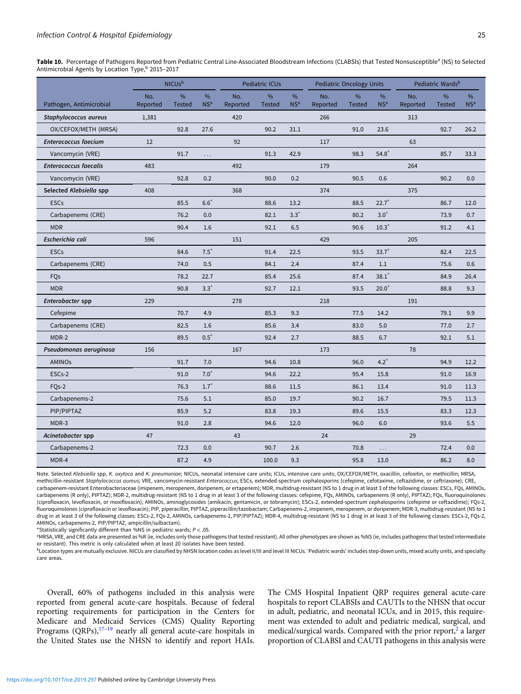<span id="page-6-0"></span>Table 10. Percentage of Pathogens Reported from Pediatric Central Line-Associated Bloodstream Infections (CLABSIs) that Tested Nonsusceptible<sup>a</sup> (NS) to Selected Antimicrobial Agents by Location Type, $b$  2015–2017

|                              | <b>NICUs</b> b  |                                |                      |                 | Pediatric ICUs        |                      |                 | <b>Pediatric Oncology Units</b> |                      | Pediatric Wards <sup>b</sup> |                                |                         |
|------------------------------|-----------------|--------------------------------|----------------------|-----------------|-----------------------|----------------------|-----------------|---------------------------------|----------------------|------------------------------|--------------------------------|-------------------------|
| Pathogen, Antimicrobial      | No.<br>Reported | $\frac{0}{0}$<br><b>Tested</b> | %<br>NS <sup>a</sup> | No.<br>Reported | $\%$<br><b>Tested</b> | %<br>NS <sup>a</sup> | No.<br>Reported | %<br><b>Tested</b>              | %<br>NS <sup>a</sup> | No.<br>Reported              | $\frac{9}{6}$<br><b>Tested</b> | $\%$<br>NS <sup>a</sup> |
| Staphylococcus aureus        | 1,381           |                                |                      | 420             |                       |                      | 266             |                                 |                      | 313                          |                                |                         |
| OX/CEFOX/METH (MRSA)         |                 | 92.8                           | 27.6                 |                 | 90.2                  | 31.1                 |                 | 91.0                            | 23.6                 |                              | 92.7                           | 26.2                    |
| <b>Enterococcus faecium</b>  | 12              |                                |                      | 92              |                       |                      | 117             |                                 |                      | 63                           |                                |                         |
| Vancomycin (VRE)             |                 | 91.7                           | $\cdots$             |                 | 91.3                  | 42.9                 |                 | 98.3                            | $54.8*$              |                              | 85.7                           | 33.3                    |
| <b>Enterococcus faecalis</b> | 483             |                                |                      | 492             |                       |                      | 179             |                                 |                      | 264                          |                                |                         |
| Vancomycin (VRE)             |                 | 92.8                           | 0.2                  |                 | 90.0                  | 0.2                  |                 | 90.5                            | 0.6                  |                              | 90.2                           | 0.0                     |
| Selected Klebsiella spp      | 408             |                                |                      | 368             |                       |                      | 374             |                                 |                      | 375                          |                                |                         |
| <b>ESCs</b>                  |                 | 85.5                           | $6.6*$               |                 | 88.6                  | 13.2                 |                 | 88.5                            | $22.7*$              |                              | 86.7                           | 12.0                    |
| Carbapenems (CRE)            |                 | 76.2                           | 0.0                  |                 | 82.1                  | $3.3*$               |                 | 80.2                            | $3.0*$               |                              | 73.9                           | 0.7                     |
| <b>MDR</b>                   |                 | 90.4                           | 1.6                  |                 | 92.1                  | 6.5                  |                 | 90.6                            | $10.3*$              |                              | 91.2                           | 4.1                     |
| Escherichia coli             | 596             |                                |                      | 151             |                       |                      | 429             |                                 |                      | 205                          |                                |                         |
| <b>ESCs</b>                  |                 | 84.6                           | $7.5^*$              |                 | 91.4                  | 22.5                 |                 | 93.5                            | $33.7*$              |                              | 82.4                           | 22.5                    |
| Carbapenems (CRE)            |                 | 74.0                           | 0.5                  |                 | 84.1                  | 2.4                  |                 | 87.4                            | 1.1                  |                              | 75.6                           | 0.6                     |
| FQs                          |                 | 78.2                           | 22.7                 |                 | 85.4                  | 25.6                 |                 | 87.4                            | $38.1*$              |                              | 84.9                           | 26.4                    |
| <b>MDR</b>                   |                 | 90.8                           | $3.3*$               |                 | 92.7                  | 12.1                 |                 | 93.5                            | $20.0*$              |                              | 88.8                           | 9.3                     |
| Enterobacter spp             | 229             |                                |                      | 278             |                       |                      | 218             |                                 |                      | 191                          |                                |                         |
| Cefepime                     |                 | 70.7                           | 4.9                  |                 | 85.3                  | 9.3                  |                 | 77.5                            | 14.2                 |                              | 79.1                           | 9.9                     |
| Carbapenems (CRE)            |                 | 82.5                           | 1.6                  |                 | 85.6                  | 3.4                  |                 | 83.0                            | 5.0                  |                              | 77.0                           | 2.7                     |
| MDR-2                        |                 | 89.5                           | $0.5*$               |                 | 92.4                  | 2.7                  |                 | 88.5                            | 6.7                  |                              | 92.1                           | 5.1                     |
| Pseudomonas aeruginosa       | 156             |                                |                      | 167             |                       |                      | 173             |                                 |                      | 78                           |                                |                         |
| <b>AMINOs</b>                |                 | 91.7                           | 7.0                  |                 | 94.6                  | 10.8                 |                 | 96.0                            | $4.2*$               |                              | 94.9                           | 12.2                    |
| ESCs-2                       |                 | 91.0                           | $7.0*$               |                 | 94.6                  | 22.2                 |                 | 95.4                            | 15.8                 |                              | 91.0                           | 16.9                    |
| FQ <sub>s</sub> -2           |                 | 76.3                           | $1.7*$               |                 | 88.6                  | 11.5                 |                 | 86.1                            | 13.4                 |                              | 91.0                           | 11.3                    |
| Carbapenems-2                |                 | 75.6                           | 5.1                  |                 | 85.0                  | 19.7                 |                 | 90.2                            | 16.7                 |                              | 79.5                           | 11.3                    |
| PIP/PIPTAZ                   |                 | 85.9                           | 5.2                  |                 | 83.8                  | 19.3                 |                 | 89.6                            | 15.5                 |                              | 83.3                           | 12.3                    |
| MDR-3                        |                 | 91.0                           | 2.8                  |                 | 94.6                  | 12.0                 |                 | 96.0                            | 6.0                  |                              | 93.6                           | 5.5                     |
| Acinetobacter spp            | 47              |                                |                      | 43              |                       |                      | 24              |                                 |                      | 29                           |                                |                         |
| Carbapenems-2                |                 | 72.3                           | 0.0                  |                 | 90.7                  | 2.6                  |                 | 70.8                            | .                    |                              | 72.4                           | 0.0                     |
| MDR-4                        |                 | 87.2                           | 4.9                  |                 | 100.0                 | 9.3                  |                 | 95.8                            | 13.0                 |                              | 86.2                           | 8.0                     |

Note. Selected Klebsiella spp, K. oxytoca and K. pneumoniae; NICUs, neonatal intensive care units; ICUs, intensive care units; OX/CEFOX/METH, oxacillin, cefoxitin, or methicillin; MRSA, methicillin-resistant Staphylococcus aureus; VRE, vancomycin-resistant Enterococcus; ESCs, extended-spectrum cephalosporins (cefepime, cefotaxime, ceftazidime, or ceftriaxone); CRE, carbapenem-resistant Enterobacteriaceae (imipenem, meropenem, doripenem, or ertapenem); MDR, multidrug-resistant (NS to 1 drug in at least 3 of the following classes: ESCs, FQs, AMINOs, carbapenems (R only), PIPTAZ); MDR-2, multidrug-resistant (NS to 1 drug in at least 3 of the following classes: cefepime, FQs, AMINOs, carbapenems (R only), PIPTAZ); FQs, fluoroquinolones (ciprofloxacin, levofloxacin, or moxifloxacin); AMINOs, aminoglycosides (amikacin, gentamicin, or tobramycin); ESCs-2, extended-spectrum cephalosporins (cefepime or ceftazidime); FQs-2, fluoroquinolones (ciprofloxacin or levofloxacin); PIP, piperacillin; PIPTAZ, piperacillin/tazobactam; Carbapenems-2, imipenem, meropenem, or doripenem; MDR-3, multidrug-resistant (NS to 1 drug in at least 3 of the following classes: ESCs-2, FQs-2, AMINOs, carbapenems-2, PIP/PIPTAZ); MDR-4, multidrug-resistant (NS to 1 drug in at least 3 of the following classes: ESCs-2, FQs-2, AMINOs, carbapenems-2, PIP/PIPTAZ, ampicillin/sulbactam).

\*Statistically significantly different than %NS in pediatric wards;  $P < 0.05$ .

a MRSA, VRE, and CRE data are presented as %R (ie, includes only those pathogens that tested resistant). All other phenotypes are shown as %NS (ie, includes pathogens that tested intermediate or resistant). This metric is only calculated when at least 20 isolates have been tested.

<sup>b</sup>Location types are mutually exclusive. NICUs are classified by NHSN location codes as level II/III and level III NICUs. 'Pediatric wards' includes step-down units, mixed acuity units, and specialty care areas.

Overall, 60% of pathogens included in this analysis were reported from general acute-care hospitals. Because of federal reporting requirements for participation in the Centers for Medicare and Medicaid Services (CMS) Quality Reporting Programs (QRPs),<sup>[17](#page-10-0)-[19](#page-10-0)</sup> nearly all general acute-care hospitals in the United States use the NHSN to identify and report HAIs.

The CMS Hospital Inpatient QRP requires general acute-care hospitals to report CLABSIs and CAUTIs to the NHSN that occur in adult, pediatric, and neonatal ICUs, and in 2015, this requirement was extended to adult and pediatric medical, surgical, and medical/surgical wards. Compared with the prior report, $2$  a larger proportion of CLABSI and CAUTI pathogens in this analysis were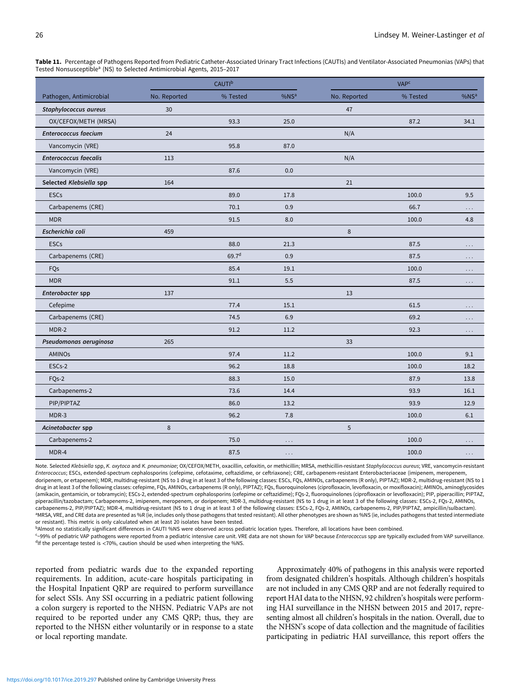|                              |              | <b>CAUTI</b> <sup>b</sup> |                  |              | <b>VAP<sup>c</sup></b> |                  |
|------------------------------|--------------|---------------------------|------------------|--------------|------------------------|------------------|
| Pathogen, Antimicrobial      | No. Reported | % Tested                  | %NS <sup>a</sup> | No. Reported | % Tested               | %NS <sup>a</sup> |
| Staphylococcus aureus        | 30           |                           |                  | 47           |                        |                  |
| OX/CEFOX/METH (MRSA)         |              | 93.3                      | 25.0             |              | 87.2                   | 34.1             |
| <b>Enterococcus faecium</b>  | 24           |                           |                  | N/A          |                        |                  |
| Vancomycin (VRE)             |              | 95.8                      | 87.0             |              |                        |                  |
| <b>Enterococcus faecalis</b> | 113          |                           |                  | N/A          |                        |                  |
| Vancomycin (VRE)             |              | 87.6                      | 0.0              |              |                        |                  |
| Selected Klebsiella spp      | 164          |                           |                  | 21           |                        |                  |
| <b>ESCs</b>                  |              | 89.0                      | 17.8             |              | 100.0                  | 9.5              |
| Carbapenems (CRE)            |              | 70.1                      | 0.9              |              | 66.7                   | .                |
| <b>MDR</b>                   |              | 91.5                      | 8.0              |              | 100.0                  | 4.8              |
| Escherichia coli             | 459          |                           |                  | $\,8\,$      |                        |                  |
| <b>ESCs</b>                  |              | 88.0                      | 21.3             |              | 87.5                   | $\cdots$         |
| Carbapenems (CRE)            |              | 69.7 <sup>d</sup>         | 0.9              |              | 87.5                   | $\cdots$         |
| FQs                          |              | 85.4                      | 19.1             |              | 100.0                  | $\cdots$         |
| <b>MDR</b>                   |              | 91.1                      | 5.5              |              | 87.5                   | $\cdots$         |
| Enterobacter spp             | 137          |                           |                  | 13           |                        |                  |
| Cefepime                     |              | 77.4                      | 15.1             |              | 61.5                   | $\cdots$         |
| Carbapenems (CRE)            |              | 74.5                      | 6.9              |              | 69.2                   | $\cdots$         |
| MDR-2                        |              | 91.2                      | 11.2             |              | 92.3                   | $\cdots$         |
| Pseudomonas aeruginosa       | 265          |                           |                  | 33           |                        |                  |
| AMINOs                       |              | 97.4                      | 11.2             |              | 100.0                  | 9.1              |
| ESC <sub>s</sub> -2          |              | 96.2                      | 18.8             |              | 100.0                  | 18.2             |
| FQs-2                        |              | 88.3                      | 15.0             |              | 87.9                   | 13.8             |
| Carbapenems-2                |              | 73.6                      | 14.4             |              | 93.9                   | 16.1             |
| PIP/PIPTAZ                   |              | 86.0                      | 13.2             |              | 93.9                   | 12.9             |
| MDR-3                        |              | 96.2                      | 7.8              |              | 100.0                  | 6.1              |
| Acinetobacter spp            | $\,8\,$      |                           |                  | 5            |                        |                  |
| Carbapenems-2                |              | 75.0                      | $\cdots$         |              | 100.0                  | .                |
| MDR-4                        |              | 87.5                      | $\cdots$         |              | 100.0                  | $\cdots$         |

<span id="page-7-0"></span>Table 11. Percentage of Pathogens Reported from Pediatric Catheter-Associated Urinary Tract Infections (CAUTIs) and Ventilator-Associated Pneumonias (VAPs) that Tested Nonsusceptible<sup>a</sup> (NS) to Selected Antimicrobial Agents, 2015–2017

Note. Selected Klebsiella spp, K. oxytoca and K. pneumoniae; OX/CEFOX/METH, oxacillin, cefoxitin, or methicillin; MRSA, methicillin-resistant Staphylococcus aureus; VRE, vancomycin-resistant Enterococcus; ESCs, extended-spectrum cephalosporins (cefepime, cefotaxime, ceftazidime, or ceftriaxone); CRE, carbapenem-resistant Enterobacteriaceae (imipenem, meropenem, doripenem, or ertapenem); MDR, multidrug-resistant (NS to 1 drug in at least 3 of the following classes: ESCs, FQs, AMINOs, carbapenems (R only), PIPTAZ); MDR-2, multidrug-resistant (NS to 1 drug in at least 3 of the following classes: cefepime, FQs, AMINOs, carbapenems (R only), PIPTAZ); FQs, fluoroquinolones (ciprofloxacin, levofloxacin, or moxifloxacin); AMINOs, aminoglycosides (amikacin, gentamicin, or tobramycin); ESCs-2, extended-spectrum cephalosporins (cefepime or ceftazidime); FQs-2, fluoroquinolones (ciprofloxacin or levofloxacin); PIP, piperacillin; PIPTAZ, piperacillin/tazobactam; Carbapenems-2, imipenem, meropenem, or doripenem; MDR-3, multidrug-resistant (NS to 1 drug in at least 3 of the following classes: ESCs-2, FQs-2, AMINOs, carbapenems-2, PIP/PIPTAZ); MDR-4, multidrug-resistant (NS to 1 drug in at least 3 of the following classes: ESCs-2, FQs-2, AMINOs, carbapenems-2, PIP/PIPTAZ, ampicillin/sulbactam). <sup>a</sup>MRSA, VRE, and CRE data are presented as %R (ie, includes only those pathogens that tested resistant). All other phenotypes are shown as %NS (ie, includes pathogens that tested intermediate or resistant). This metric is only calculated when at least 20 isolates have been tested.

bAlmost no statistically significant differences in CAUTI %NS were observed across pediatric location types. Therefore, all locations have been combined.

<-99% of pediatric VAP pathogens were reported from a pediatric intensive care unit. VRE data are not shown for VAP because Enterococcus spp are typically excluded from VAP surveillance. <sup>d</sup>If the percentage tested is <70%, caution should be used when interpreting the %NS.

reported from pediatric wards due to the expanded reporting requirements. In addition, acute-care hospitals participating in the Hospital Inpatient QRP are required to perform surveillance for select SSIs. Any SSI occurring in a pediatric patient following a colon surgery is reported to the NHSN. Pediatric VAPs are not required to be reported under any CMS QRP; thus, they are reported to the NHSN either voluntarily or in response to a state or local reporting mandate.

Approximately 40% of pathogens in this analysis were reported from designated children's hospitals. Although children's hospitals are not included in any CMS QRP and are not federally required to report HAI data to the NHSN, 92 children's hospitals were performing HAI surveillance in the NHSN between 2015 and 2017, representing almost all children's hospitals in the nation. Overall, due to the NHSN's scope of data collection and the magnitude of facilities participating in pediatric HAI surveillance, this report offers the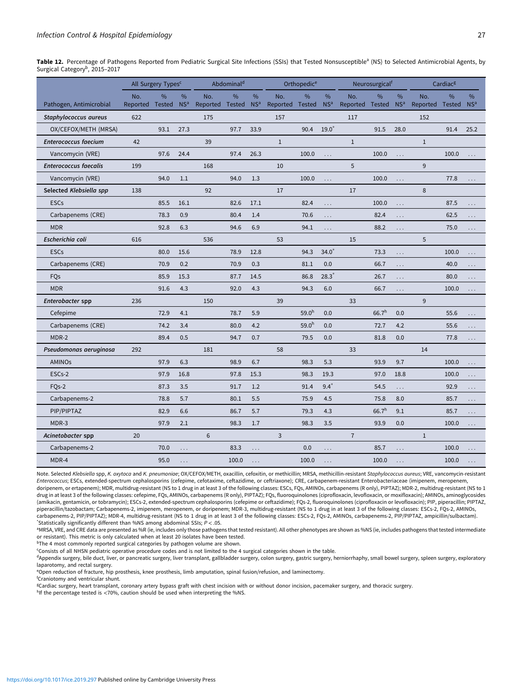<span id="page-8-0"></span>Table 12. Percentage of Pathogens Reported from Pediatric Surgical Site Infections (SSIs) that Tested Nonsusceptible<sup>a</sup> (NS) to Selected Antimicrobial Agents, by Surgical Category<sup>b</sup>, 2015-2017

|                                                  |                        | All Surgery Types <sup>c</sup> |                      |                        | Abdominal <sup>d</sup> |                      |                        | Orthopedic <sup>e</sup> |                      |                        | Neurosurgicalf    |                      |                 | Cardiac <sup>g</sup> |                      |
|--------------------------------------------------|------------------------|--------------------------------|----------------------|------------------------|------------------------|----------------------|------------------------|-------------------------|----------------------|------------------------|-------------------|----------------------|-----------------|----------------------|----------------------|
|                                                  | No.<br>Reported Tested | $\%$                           | %<br>NS <sup>a</sup> | No.<br>Reported Tested | %                      | %<br>NS <sup>a</sup> | No.<br>Reported Tested | $\%$                    | %<br>NS <sup>a</sup> | No.<br>Reported Tested | $\%$              | %<br>NS <sup>a</sup> | No.<br>Reported | $\%$<br>Tested       | %<br>NS <sup>a</sup> |
| Pathogen, Antimicrobial<br>Staphylococcus aureus | 622                    |                                |                      | 175                    |                        |                      | 157                    |                         |                      | 117                    |                   |                      | 152             |                      |                      |
| OX/CEFOX/METH (MRSA)                             |                        | 93.1                           | 27.3                 |                        | 97.7                   | 33.9                 |                        | 90.4                    | $19.0*$              |                        | 91.5              | 28.0                 |                 | 91.4                 | 25.2                 |
| <b>Enterococcus faecium</b>                      | 42                     |                                |                      | 39                     |                        |                      | $\mathbf{1}$           |                         |                      | $\mathbf{1}$           |                   |                      | $\mathbf{1}$    |                      |                      |
| Vancomycin (VRE)                                 |                        | 97.6                           | 24.4                 |                        | 97.4                   | 26.3                 |                        | 100.0                   |                      |                        | 100.0             |                      |                 | 100.0                |                      |
| <b>Enterococcus faecalis</b>                     | 199                    |                                |                      | 168                    |                        |                      | 10                     |                         |                      | 5                      |                   | $\cdots$             | 9               |                      |                      |
| Vancomycin (VRE)                                 |                        | 94.0                           | 1.1                  |                        | 94.0                   | 1.3                  |                        | 100.0                   |                      |                        | 100.0             |                      |                 | 77.8                 |                      |
| Selected Klebsiella spp                          | 138                    |                                |                      | 92                     |                        |                      | 17                     |                         | $\sim$               | 17                     |                   | $\sim$               | 8               |                      | $\mathbf{1}$         |
| <b>ESCs</b>                                      |                        | 85.5                           | 16.1                 |                        | 82.6                   | 17.1                 |                        | 82.4                    |                      |                        | 100.0             |                      |                 | 87.5                 |                      |
|                                                  |                        | 78.3                           | 0.9                  |                        | 80.4                   | 1.4                  |                        | 70.6                    | $\cdots$             |                        | 82.4              | $\cdots$             |                 | 62.5                 | $\cdots$             |
| Carbapenems (CRE)                                |                        |                                |                      |                        |                        |                      |                        |                         | $\cdots$             |                        |                   | .                    |                 |                      | $\cdots$             |
| <b>MDR</b><br>Escherichia coli                   |                        | 92.8                           | 6.3                  |                        | 94.6                   | 6.9                  | 53                     | 94.1                    |                      |                        | 88.2              | $\cdots$             | 5               | 75.0                 | $\cdots$             |
|                                                  | 616                    |                                |                      | 536                    |                        |                      |                        |                         |                      | 15                     |                   |                      |                 |                      |                      |
| <b>ESCs</b>                                      |                        | 80.0                           | 15.6                 |                        | 78.9                   | 12.8                 |                        | 94.3                    | $34.0^*$             |                        | 73.3              | $\ldots$             |                 | 100.0                | $\sim$               |
| Carbapenems (CRE)                                |                        | 70.9                           | 0.2                  |                        | 70.9                   | 0.3                  |                        | 81.1                    | 0.0                  |                        | 66.7              | $\cdots$             |                 | 40.0                 | $\cdots$             |
| FQs                                              |                        | 85.9                           | 15.3                 |                        | 87.7                   | 14.5                 |                        | 86.8                    | $28.3*$              |                        | 26.7              | $\cdots$             |                 | 80.0                 | $\cdots$             |
| <b>MDR</b>                                       |                        | 91.6                           | 4.3                  |                        | 92.0                   | 4.3                  |                        | 94.3                    | 6.0                  |                        | 66.7              | $\cdots$             |                 | 100.0                | $\ldots$             |
| Enterobacter spp                                 | 236                    |                                |                      | 150                    |                        |                      | 39                     |                         |                      | 33                     |                   |                      | 9               |                      |                      |
| Cefepime                                         |                        | 72.9                           | 4.1                  |                        | 78.7                   | 5.9                  |                        | 59.0 <sup>h</sup>       | 0.0                  |                        | 66.7 <sup>h</sup> | 0.0                  |                 | 55.6                 | $\cdots$             |
| Carbapenems (CRE)                                |                        | 74.2                           | 3.4                  |                        | 80.0                   | 4.2                  |                        | 59.0 <sup>h</sup>       | 0.0                  |                        | 72.7              | 4.2                  |                 | 55.6                 | $\ldots$             |
| MDR-2                                            |                        | 89.4                           | 0.5                  |                        | 94.7                   | 0.7                  |                        | 79.5                    | 0.0                  |                        | 81.8              | 0.0                  |                 | 77.8                 |                      |
| Pseudomonas aeruginosa                           | 292                    |                                |                      | 181                    |                        |                      | 58                     |                         |                      | 33                     |                   |                      | 14              |                      |                      |
| <b>AMINOs</b>                                    |                        | 97.9                           | 6.3                  |                        | 98.9                   | 6.7                  |                        | 98.3                    | 5.3                  |                        | 93.9              | 9.7                  |                 | 100.0                | $\sim$ $\sim$ $\sim$ |
| ESCs-2                                           |                        | 97.9                           | 16.8                 |                        | 97.8                   | 15.3                 |                        | 98.3                    | 19.3                 |                        | 97.0              | 18.8                 |                 | 100.0                | $\cdots$             |
| FQs-2                                            |                        | 87.3                           | 3.5                  |                        | 91.7                   | 1.2                  |                        | 91.4                    | $9.4*$               |                        | 54.5              | $\cdots$             |                 | 92.9                 | $\cdots$             |
| Carbapenems-2                                    |                        | 78.8                           | 5.7                  |                        | 80.1                   | 5.5                  |                        | 75.9                    | 4.5                  |                        | 75.8              | 8.0                  |                 | 85.7                 | $\ldots$             |
| PIP/PIPTAZ                                       |                        | 82.9                           | 6.6                  |                        | 86.7                   | 5.7                  |                        | 79.3                    | 4.3                  |                        | 66.7 <sup>h</sup> | 9.1                  |                 | 85.7                 | .                    |
| MDR-3                                            |                        | 97.9                           | 2.1                  |                        | 98.3                   | 1.7                  |                        | 98.3                    | 3.5                  |                        | 93.9              | 0.0                  |                 | 100.0                | $\cdots$             |
| Acinetobacter spp                                | 20                     |                                |                      | 6                      |                        |                      | 3                      |                         |                      | $\overline{7}$         |                   |                      | $\mathbf{1}$    |                      |                      |
| Carbapenems-2                                    |                        | 70.0                           | .                    |                        | 83.3                   | and a                |                        | 0.0                     | and a                |                        | 85.7              | a la                 |                 | 100.0                | $\sim$               |
| MDR-4                                            |                        | 95.0                           | $\ddotsc$            |                        | 100.0                  |                      |                        | 100.0                   | $\ddotsc$            |                        | 100.0             |                      |                 | 100.0                | $\cdots$             |

Note. Selected Klebsiella spp, K. oxytoca and K. pneumoniae; OX/CEFOX/METH, oxacillin, cefoxitin, or methicillin; MRSA, methicillin-resistant Staphylococcus aureus; VRE, vancomycin-resistant Enterococcus; ESCs, extended-spectrum cephalosporins (cefepime, cefotaxime, ceftazidime, or ceftriaxone); CRE, carbapenem-resistant Enterobacteriaceae (imipenem, meropenem, doripenem, or ertapenem); MDR, multidrug-resistant (NS to 1 drug in at least 3 of the following classes: ESCs, FQs, AMINOs, carbapenems (R only), PIPTAZ); MDR-2, multidrug-resistant (NS to 1 drug in at least 3 of the following classes: cefepime, FQs, AMINOs, carbapenems (R only), PIPTAZ); FQs, fluoroquinolones (ciprofloxacin, levofloxacin, or moxifloxacin); AMINOs, aminoglycosides (amikacin, gentamicin, or tobramycin); ESCs-2, extended-spectrum cephalosporins (cefepime or ceftazidime); FQs-2, fluoroquinolones (ciprofloxacin or levofloxacin); PIP, piperacillin; PIPTAZ, piperacillin/tazobactam; Carbapenems-2, imipenem, meropenem, or doripenem; MDR-3, multidrug-resistant (NS to 1 drug in at least 3 of the following classes: ESCs-2, FQs-2, AMINOs, carbapenems-2, PIP/PIPTAZ); MDR-4, multidrug-resistant (NS to 1 drug in at least 3 of the following classes: ESCs-2, FQs-2, AMINOs, carbapenems-2, PIP/PIPTAZ, ampicillin/sulbactam).  $*$ Statistically significantly different than %NS among abdominal SSIs;  $P < .05$ .

<sup>a</sup>MRSA, VRE, and CRE data are presented as %R (ie, includes only those pathogens that tested resistant). All other phenotypes are shown as %NS (ie, includes pathogens that tested intermediate or resistant). This metric is only calculated when at least 20 isolates have been tested.

<sup>b</sup>The 4 most commonly reported surgical categories by pathogen volume are shown.

c Consists of all NHSN pediatric operative procedure codes and is not limited to the 4 surgical categories shown in the table.

dAppendix surgery, bile duct, liver, or pancreatic surgery, liver transplant, gallbladder surgery, colon surgery, gastric surgery, herniorrhaphy, small bowel surgery, spleen surgery, exploratory laparotomy, and rectal surgery.

e Open reduction of fracture, hip prosthesis, knee prosthesis, limb amputation, spinal fusion/refusion, and laminectomy.

f Craniotomy and ventricular shunt.

<sup>g</sup>Cardiac surgery, heart transplant, coronary artery bypass graft with chest incision with or without donor incision, pacemaker surgery, and thoracic surgery.

h<sub>If</sub> the percentage tested is <70%, caution should be used when interpreting the %NS.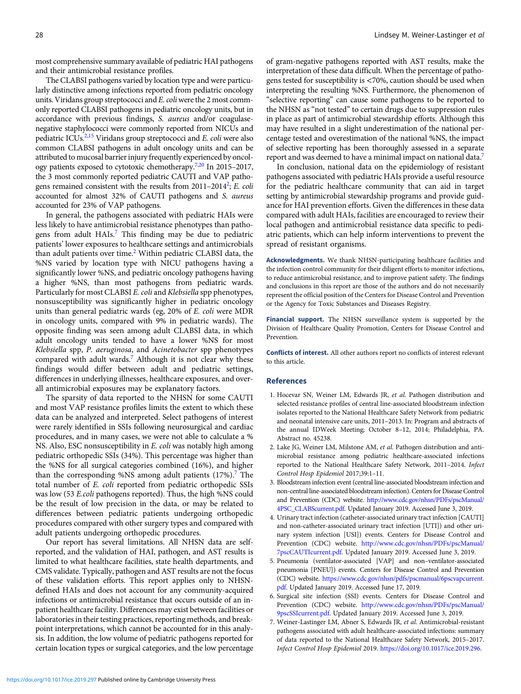<span id="page-9-0"></span>most comprehensive summary available of pediatric HAI pathogens and their antimicrobial resistance profiles.

The CLABSI pathogens varied by location type and were particularly distinctive among infections reported from pediatric oncology units. Viridans group streptococci and  $E$ . *coli* were the 2 most commonly reported CLABSI pathogens in pediatric oncology units, but in accordance with previous findings, S. aureus and/or coagulasenegative staphylococci were commonly reported from NICUs and pediatric ICUs. $2,15$  $2,15$  Viridans group streptococci and E. coli were also common CLABSI pathogens in adult oncology units and can be attributed to mucosal barrier injury frequently experienced by oncology patients exposed to cytotoxic chemotherapy.7[,20](#page-10-0) In 2015–2017, the 3 most commonly reported pediatric CAUTI and VAP pathogens remained consistent with the results from  $2011-2014^2$ ; E. coli accounted for almost 32% of CAUTI pathogens and S. aureus accounted for 23% of VAP pathogens.

In general, the pathogens associated with pediatric HAIs were less likely to have antimicrobial resistance phenotypes than pathogens from adult HAIs.<sup>7</sup> This finding may be due to pediatric patients' lower exposures to healthcare settings and antimicrobials than adult patients over time.<sup>2</sup> Within pediatric CLABSI data, the %NS varied by location type with NICU pathogens having a significantly lower %NS, and pediatric oncology pathogens having a higher %NS, than most pathogens from pediatric wards. Particularly for most CLABSI E. coli and Klebsiella spp phenotypes, nonsusceptibility was significantly higher in pediatric oncology units than general pediatric wards (eg, 20% of E. coli were MDR in oncology units, compared with 9% in pediatric wards). The opposite finding was seen among adult CLABSI data, in which adult oncology units tended to have a lower %NS for most Klebsiella spp, P. aeruginosa, and Acinetobacter spp phenotypes compared with adult wards.<sup>7</sup> Although it is not clear why these findings would differ between adult and pediatric settings, differences in underlying illnesses, healthcare exposures, and overall antimicrobial exposures may be explanatory factors.

The sparsity of data reported to the NHSN for some CAUTI and most VAP resistance profiles limits the extent to which these data can be analyzed and interpreted. Select pathogens of interest were rarely identified in SSIs following neurosurgical and cardiac procedures, and in many cases, we were not able to calculate a % NS. Also, ESC nonsusceptibility in E. coli was notably high among pediatric orthopedic SSIs (34%). This percentage was higher than the %NS for all surgical categories combined (16%), and higher than the corresponding %NS among adult patients  $(17%)$ .<sup>7</sup> The total number of E. coli reported from pediatric orthopedic SSIs was low (53 E.coli pathogens reported). Thus, the high %NS could be the result of low precision in the data, or may be related to differences between pediatric patients undergoing orthopedic procedures compared with other surgery types and compared with adult patients undergoing orthopedic procedures.

Our report has several limitations. All NHSN data are selfreported, and the validation of HAI, pathogen, and AST results is limited to what healthcare facilities, state health departments, and CMS validate. Typically, pathogen and AST results are not the focus of these validation efforts. This report applies only to NHSNdefined HAIs and does not account for any community-acquired infections or antimicrobial resistance that occurs outside of an inpatient healthcare facility. Differences may exist between facilities or laboratories in their testing practices, reporting methods, and breakpoint interpretations, which cannot be accounted for in this analysis. In addition, the low volume of pediatric pathogens reported for certain location types or surgical categories, and the low percentage of gram-negative pathogens reported with AST results, make the interpretation of these data difficult. When the percentage of pathogens tested for susceptibility is <70%, caution should be used when interpreting the resulting %NS. Furthermore, the phenomenon of "selective reporting" can cause some pathogens to be reported to the NHSN as "not tested" to certain drugs due to suppression rules in place as part of antimicrobial stewardship efforts. Although this may have resulted in a slight underestimation of the national percentage tested and overestimation of the national %NS, the impact of selective reporting has been thoroughly assessed in a separate report and was deemed to have a minimal impact on national data.7

In conclusion, national data on the epidemiology of resistant pathogens associated with pediatric HAIs provide a useful resource for the pediatric healthcare community that can aid in target setting by antimicrobial stewardship programs and provide guidance for HAI prevention efforts. Given the differences in these data compared with adult HAIs, facilities are encouraged to review their local pathogen and antimicrobial resistance data specific to pediatric patients, which can help inform interventions to prevent the spread of resistant organisms.

Acknowledgments. We thank NHSN-participating healthcare facilities and the infection control community for their diligent efforts to monitor infections, to reduce antimicrobial resistance, and to improve patient safety. The findings and conclusions in this report are those of the authors and do not necessarily represent the official position of the Centers for Disease Control and Prevention or the Agency for Toxic Substances and Diseases Registry.

Financial support. The NHSN surveillance system is supported by the Division of Healthcare Quality Promotion, Centers for Disease Control and Prevention.

Conflicts of interest. All other authors report no conflicts of interest relevant to this article.

#### References

- 1. Hocevar SN, Weiner LM, Edwards JR, et al. Pathogen distribution and selected resistance profiles of central line-associated bloodstream infection isolates reported to the National Healthcare Safety Network from pediatric and neonatal intensive care units, 2011–2013. In: Program and abstracts of the annual IDWeek Meeting; October 8–12, 2014; Philadelphia, PA. Abstract no. 45238.
- 2. Lake JG, Weiner LM, Milstone AM, et al. Pathogen distribution and antimicrobial resistance among pediatric healthcare-associated infections reported to the National Healthcare Safety Network, 2011–2014. Infect Control Hosp Epidemiol 2017;39:1–11.
- 3. Bloodstream infection event (central line-associated bloodstream infection and non-central line-associated bloodstream infection). Centers for Disease Control and Prevention (CDC) website. [http://www.cdc.gov/nhsn/PDFs/pscManual/](http://www.cdc.gov/nhsn/PDFs/pscManual/4PSC_CLABScurrent.pdf) [4PSC\\_CLABScurrent.pdf](http://www.cdc.gov/nhsn/PDFs/pscManual/4PSC_CLABScurrent.pdf). Updated January 2019. Accessed June 3, 2019.
- 4. Urinary tract infection (catheter-associated urinary tract infection [CAUTI] and non-catheter-associated urinary tract infection [UTI]) and other urinary system infection [USI]) events. Centers for Disease Control and Prevention (CDC) website. [http://www.cdc.gov/nhsn/PDFs/pscManual/](http://www.cdc.gov/nhsn/PDFs/pscManual/7pscCAUTIcurrent.pdf) [7pscCAUTIcurrent.pdf.](http://www.cdc.gov/nhsn/PDFs/pscManual/7pscCAUTIcurrent.pdf) Updated January 2019. Accessed June 3, 2019.
- 5. Pneumonia (ventilator-associated [VAP] and non–ventilator-associated pneumonia [PNEU]) events. Centers for Disease Control and Prevention (CDC) website. [https://www.cdc.gov/nhsn/pdfs/pscmanual/6pscvapcurrent.](https://www.cdc.gov/nhsn/pdfs/pscmanual/6pscvapcurrent.pdf) [pdf.](https://www.cdc.gov/nhsn/pdfs/pscmanual/6pscvapcurrent.pdf) Updated January 2019. Accessed June 17, 2019.
- 6. Surgical site infection (SSI) events. Centers for Disease Control and Prevention (CDC) website. [http://www.cdc.gov/nhsn/PDFs/pscManual/](http://www.cdc.gov/nhsn/PDFs/pscManual/9pscSSIcurrent.pdf) [9pscSSIcurrent.pdf.](http://www.cdc.gov/nhsn/PDFs/pscManual/9pscSSIcurrent.pdf) Updated January 2019. Accessed June 3, 2019.
- 7. Weiner-Lastinger LM, Abner S, Edwards JR, et al. Antimicrobial-resistant pathogens associated with adult healthcare-associated infections: summary of data reported to the National Healthcare Safety Network, 2015–2017. Infect Control Hosp Epidemiol 2019. <https://doi.org/10.1017/ice.2019.296>.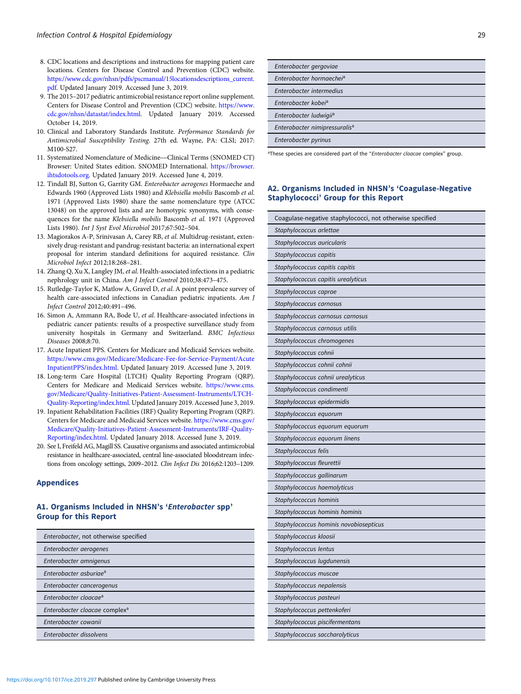- <span id="page-10-0"></span>8. CDC locations and descriptions and instructions for mapping patient care locations. Centers for Disease Control and Prevention (CDC) website. [https://www.cdc.gov/nhsn/pdfs/pscmanual/15locationsdescriptions\\_current.](https://www.cdc.gov/nhsn/pdfs/pscmanual/15locationsdescriptions_current.pdf) [pdf](https://www.cdc.gov/nhsn/pdfs/pscmanual/15locationsdescriptions_current.pdf). Updated January 2019. Accessed June 3, 2019.
- 9. The 2015–2017 pediatric antimicrobial resistance report online supplement. Centers for Disease Control and Prevention (CDC) website. [https://www.](https://www.cdc.gov/nhsn/datastat/index.html) [cdc.gov/nhsn/datastat/index.html.](https://www.cdc.gov/nhsn/datastat/index.html) Updated January 2019. Accessed October 14, 2019.
- 10. Clinical and Laboratory Standards Institute. *Performance Standards for Antimicrobial Susceptibility Testing*. 27th ed. Wayne, PA: CLSI; 2017: 11. Systematized Nomenclature of Medicine—Clinical Terms (SNOMED CT) Antimicrobial Susceptibility Testing. 27th ed. Wayne, PA: CLSI; 2017: M100-S27.<br>11. Systematized Nomenclature of Medicine—Clinical Terms (SNOMED CT)
- Browser: United States edition. SNOMED International. [https://browser.](https://browser.ihtsdotools.org) [ihtsdotools.org](https://browser.ihtsdotools.org). Updated January 2019. Accessed June 4, 2019.
- 12. Tindall BJ, Sutton G, Garrity GM. Enterobacter aerogenes Hormaeche and Edwards 1960 (Approved Lists 1980) and Klebsiella mobilis Bascomb et al. 1971 (Approved Lists 1980) share the same nomenclature type (ATCC 13048) on the approved lists and are homotypic synonyms, with consequences for the name Klebsiella mobilis Bascomb et al. 1971 (Approved Lists 1980). Int J Syst Evol Microbiol 2017;67:502–504.
- 13. Magiorakos A-P, Srinivasan A, Carey RB, et al. Multidrug-resistant, extensively drug-resistant and pandrug-resistant bacteria: an international expert proposal for interim standard definitions for acquired resistance. Clin Microbiol Infect 2012;18:268–281.
- 14. Zhang Q, Xu X, Langley JM, et al. Health-associated infections in a pediatric nephrology unit in China. Am J Infect Control 2010;38:473–475.
- 15. Rutledge-Taylor K, Matlow A, Gravel D, et al. A point prevalence survey of health care-associated infections in Canadian pediatric inpatients. Am J Infect Control 2012;40:491–496.
- 16. Simon A, Ammann RA, Bode U, et al. Healthcare-associated infections in pediatric cancer patients: results of a prospective surveillance study from university hospitals in Germany and Switzerland. BMC Infectious Diseases 2008;8:70.
- 17. Acute Inpatient PPS. Centers for Medicare and Medicaid Services website. [https://www.cms.gov/Medicare/Medicare-Fee-for-Service-Payment/Acute](https://www.cms.gov/Medicare/Medicare-Fee-for-Service-Payment/AcuteInpatientPPS/index.html) [InpatientPPS/index.html.](https://www.cms.gov/Medicare/Medicare-Fee-for-Service-Payment/AcuteInpatientPPS/index.html) Updated January 2019. Accessed June 3, 2019.
- 18. Long-term Care Hospital (LTCH) Quality Reporting Program (QRP). Centers for Medicare and Medicaid Services website. [https://www.cms.](https://www.cms.gov/Medicare/Quality-Initiatives-Patient-Assessment-Instruments/LTCH-Quality-Reporting/index.html) [gov/Medicare/Quality-Initiatives-Patient-Assessment-Instruments/LTCH-](https://www.cms.gov/Medicare/Quality-Initiatives-Patient-Assessment-Instruments/LTCH-Quality-Reporting/index.html)[Quality-Reporting/index.html](https://www.cms.gov/Medicare/Quality-Initiatives-Patient-Assessment-Instruments/LTCH-Quality-Reporting/index.html). Updated January 2019. Accessed June 3, 2019.
- 19. Inpatient Rehabilitation Facilities (IRF) Quality Reporting Program (QRP). Centers for Medicare and Medicaid Services website. [https://www.cms.gov/](https://www.cms.gov/Medicare/Quality-Initiatives-Patient-Assessment-Instruments/IRF-Quality-Reporting/index.html) [Medicare/Quality-Initiatives-Patient-Assessment-Instruments/IRF-Quality-](https://www.cms.gov/Medicare/Quality-Initiatives-Patient-Assessment-Instruments/IRF-Quality-Reporting/index.html)[Reporting/index.html.](https://www.cms.gov/Medicare/Quality-Initiatives-Patient-Assessment-Instruments/IRF-Quality-Reporting/index.html) Updated January 2018. Accessed June 3, 2019.
- 20. See I, Freifeld AG, Magill SS. Causative organisms and associated antimicrobial resistance in healthcare-associated, central line-associated bloodstream infections from oncology settings, 2009–2012. Clin Infect Dis 2016;62:1203–1209.

#### Appendices

# A1. Organisms Included in NHSN's 'Enterobacter spp' Group for this Report

| Enterobacter, not otherwise specified     |
|-------------------------------------------|
| Enterobacter aerogenes                    |
| Enterobacter amnigenus                    |
| Enterobacter asburiae <sup>a</sup>        |
| Enterobacter cancerogenus                 |
| Enterobacter cloacae <sup>a</sup>         |
| Enterobacter cloacae complex <sup>a</sup> |
| Enterobacter cowanii                      |
| Enterobacter dissolvens                   |

| Enterobacter gergoviae                    |
|-------------------------------------------|
| Enterobacter hormaechei <sup>a</sup>      |
| Enterobacter intermedius                  |
| Enterobacter kobej <sup>a</sup>           |
| Enterobacter ludwigii <sup>a</sup>        |
| Enterobacter nimipressuralis <sup>a</sup> |
| Enterobacter pyrinus                      |

<sup>a</sup>These species are considered part of the "Enterobacter cloacae complex" group.

# A2. Organisms Included in NHSN's 'Coagulase-Negative Staphylococci' Group for this Report

| Coagulase-negative staphylococci, not otherwise specified |
|-----------------------------------------------------------|
| Staphylococcus arlettae                                   |
| Staphylococcus auricularis                                |
| Staphylococcus capitis                                    |
| Staphylococcus capitis capitis                            |
| Staphylococcus capitis urealyticus                        |
| Staphylococcus caprae                                     |
| Staphylococcus carnosus                                   |
| Staphylococcus carnosus carnosus                          |
| Staphylococcus carnosus utilis                            |
| Staphylococcus chromogenes                                |
| Staphylococcus cohnii                                     |
| Staphylococcus cohnii cohnii                              |
| Staphylococcus cohnii urealyticus                         |
| Staphylococcus condimenti                                 |
| Staphylococcus epidermidis                                |
| Staphylococcus equorum                                    |
| Staphylococcus equorum equorum                            |
| Staphylococcus equorum linens                             |
| Staphylococcus felis                                      |
| Staphylococcus fleurettii                                 |
| Staphylococcus gallinarum                                 |
| Staphylococcus haemolyticus                               |
| Staphylococcus hominis                                    |
| Staphylococcus hominis hominis                            |
| Staphylococcus hominis novobiosepticus                    |
| Staphylococcus kloosii                                    |
| Staphylococcus lentus                                     |
| Staphylococcus lugdunensis                                |
| Staphylococcus muscae                                     |
| Staphylococcus nepalensis                                 |
| Staphylococcus pasteuri                                   |
| Staphylococcus pettenkoferi                               |
| Staphylococcus piscifermentans                            |
| Staphylococcus saccharolyticus                            |